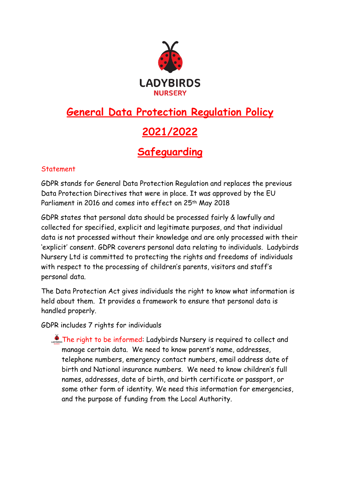

# **General Data Protection Regulation Policy**

## **2021/2022**

### **Safeguarding**

### **Statement**

GDPR stands for General Data Protection Regulation and replaces the previous Data Protection Directives that were in place. It was approved by the EU Parliament in 2016 and comes into effect on 25th May 2018

GDPR states that personal data should be processed fairly & lawfully and collected for specified, explicit and legitimate purposes, and that individual data is not processed without their knowledge and are only processed with their 'explicit' consent. GDPR coverers personal data relating to individuals. Ladybirds Nursery Ltd is committed to protecting the rights and freedoms of individuals with respect to the processing of children's parents, visitors and staff's personal data.

The Data Protection Act gives individuals the right to know what information is held about them. It provides a framework to ensure that personal data is handled properly.

GDPR includes 7 rights for individuals

**CONSISTED The right to be informed: Ladybirds Nursery is required to collect and** manage certain data. We need to know parent's name, addresses, telephone numbers, emergency contact numbers, email address date of birth and National insurance numbers. We need to know children's full names, addresses, date of birth, and birth certificate or passport, or some other form of identity. We need this information for emergencies, and the purpose of funding from the Local Authority.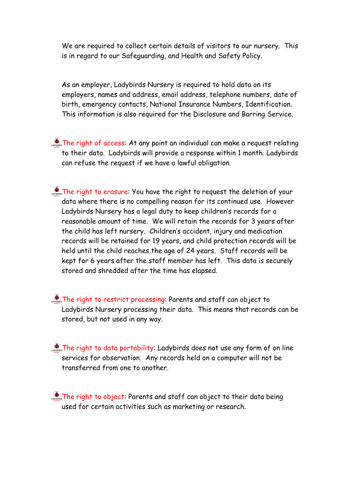We are required to collect certain details of visitors to our nursery. This is in regard to our Safeguarding, and Health and Safety Policy.

As an employer, Ladybirds Nursery is required to hold data on its employers, names and address, email address, telephone numbers, date of birth, emergency contacts, National Insurance Numbers, Identification. This information is also required for the Disclosure and Barring Service.

- **CONSTRE** right of access: At any point an individual can make a request relating to their data. Ladybirds will provide a response within 1 month. Ladybirds can refuse the request if we have a lawful obligation.
- The right to erasure: You have the right to request the deletion of your data where there is no compelling reason for its continued use. However Ladybirds Nursery has a legal duty to keep children's records for a reasonable amount of time. We will retain the records for 3 years after the child has left nursery. Children's accident, injury and medication records will be retained for 19 years, and child protection records will be held until the child reaches the age of 24 years. Staff records will be kept for 6 years after the staff member has left. This data is securely stored and shredded after the time has elapsed.
- The right to restrict processing: Parents and staff can object to Ladybirds Nursery processing their data. This means that records can be stored, but not used in any way.
- $\mathcal{L}_{\text{cross}}$  The right to data portability: Ladybirds does not use any form of on line services for observation. Any records held on a computer will not be transferred from one to another.

The right to object: Parents and staff can object to their data being used for certain activities such as marketing or research.